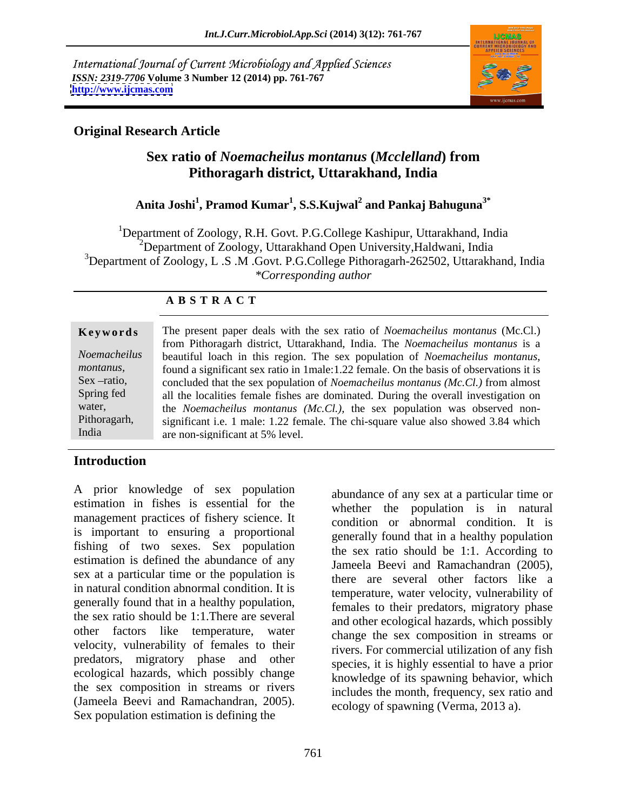International Journal of Current Microbiology and Applied Sciences *ISSN: 2319-7706* **Volume 3 Number 12 (2014) pp. 761-767 <http://www.ijcmas.com>**



# **Original Research Article**

# **Sex ratio of** *Noemacheilus montanus* **(***Mcclelland***) from Pithoragarh district, Uttarakhand, India**

### $\boldsymbol{\mathrm{Anita\ Joshi}}^1$ ,  $\boldsymbol{\mathrm{Pramod\ Kumar}}^1$ ,  $\boldsymbol{\mathrm{S.S.Kujwal}}^2$  and  $\boldsymbol{\mathrm{Pankaj\ Bahuguna}}^{3^*}$  **and Pankaj Bahuguna3\***

<sup>1</sup>Department of Zoology, R.H. Govt. P.G.College Kashipur, Uttarakhand, India <sup>2</sup>Department of Zoology, Uttarakhand Open University, Haldwani, India <sup>3</sup>Department of Zoology, L.S.M. Govt. P.G.College Pithoragarh-262502, Uttarakhand, India *\*Corresponding author* 

|              | Keywords The present paper deals with the sex ratio of Noemacheilus montanus (Mc.Cl.)           |  |  |
|--------------|-------------------------------------------------------------------------------------------------|--|--|
|              | from Pithoragarh district, Uttarakhand, India. The <i>Noemacheilus montanus</i> is a            |  |  |
|              | Noemacheilus beautiful loach in this region. The sex population of Noemacheilus montanus,       |  |  |
| montanus,    | found a significant sex ratio in 1 male: 1.22 female. On the basis of observations it is        |  |  |
| Sex -ratio,  | concluded that the sex population of <i>Noemacheilus montanus</i> ( <i>Mc.Cl.</i> ) from almost |  |  |
| Spring fed   | all the localities female fishes are dominated. During the overall investigation on             |  |  |
| water,       | the <i>Noemacheilus montanus (Mc.Cl.)</i> , the sex population was observed non-                |  |  |
| Pithoragarh, | significant i.e. 1 male: 1.22 female. The chi-square value also showed 3.84 which               |  |  |
| India        | are non-significant at 5% level.                                                                |  |  |

### **A B S T R A C T**

## **Introduction**

A prior knowledge of sex population estimation in fishes is essential for the management practices of fishery science. It is important to ensuring a proportional fishing of two sexes. Sex population estimation is defined the abundance of any sex at a particular time or the population is in natural condition abnormal condition. It is generally found that in a healthy population, the sex ratio should be 1:1.There are several other factors like temperature, water velocity, vulnerability of females to their predators, migratory phase and other ecological hazards, which possibly change the sex composition in streams or rivers (Jameela Beevi and Ramachandran, 2005). Sex population estimation is defining the

abundance of any sex at a particular time or whether the population is in natural condition or abnormal condition. It is generally found that in a healthy population the sex ratio should be 1:1. According to Jameela Beevi and Ramachandran (2005), there are several other factors like a temperature, water velocity, vulnerability of females to their predators, migratory phase and other ecological hazards, which possibly change the sex composition in streams or rivers. For commercial utilization of any fish species, it is highly essential to have a prior knowledge of its spawning behavior, which includes the month, frequency, sex ratio and ecology of spawning (Verma, 2013 a).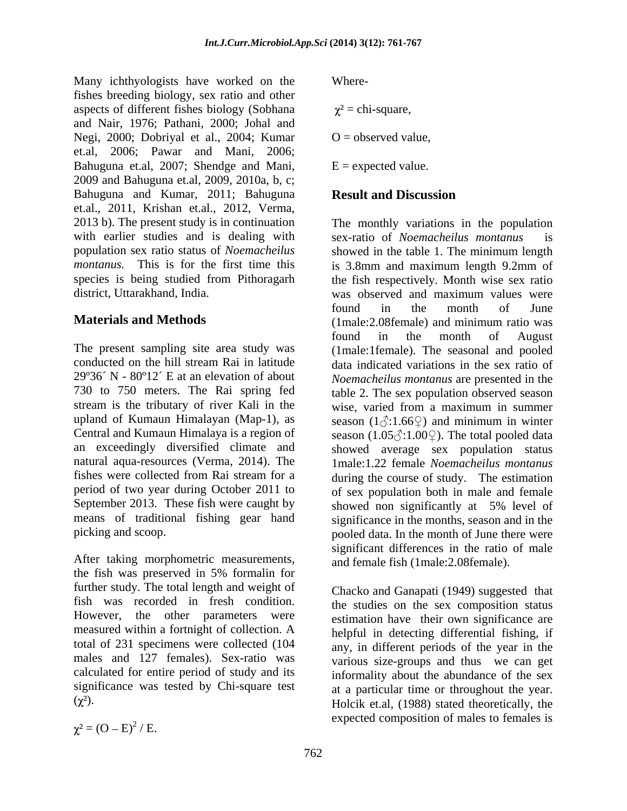Many ichthyologists have worked on the Wherefishes breeding biology, sex ratio and other aspects of different fishes biology (Sobhana  $\chi^2$  = chi-square, and Nair, 1976; Pathani, 2000; Johal and Negi, 2000; Dobriyal et al., 2004; Kumar et.al, 2006; Pawar and Mani, 2006; Bahuguna et.al, 2007; Shendge and Mani, 2009 and Bahuguna et.al, 2009, 2010a, b, c; Bahuguna and Kumar, 2011; Bahuguna **Result and Discussion** et.al., 2011, Krishan et.al., 2012, Verma, with earlier studies and is dealing with sex-ratio of *Noemacheilus montanus* is population sex ratio status of *Noemacheilus*  species is being studied from Pithoragarh district, Uttarakhand, India. The same was observed and maximum values were

730 to 750 meters. The Rai spring fed stream is the tributary of river Kali in the wise, varied from a maximum in summer upland of Kumaun Himalayan (Map-1), as season  $(1\text{A}:1.66\text{A})$  and minimum in winter an exceedingly diversified climate and natural aqua-resources (Verma, 2014). The 1male:1.22 female Noemacheilus montanus fishes were collected from Rai stream for a during the course of study. The estimation September 2013. These fish were caught by means of traditional fishing gear hand

After taking morphometric measurements, the fish was preserved in 5% formalin for further study. The total length and weight of measured within a fortnight of collection. A total of 231 specimens were collected (104 calculated for entire period of study and its significance was tested by Chi-square test Where-

 $z = \text{chi-square}$ ,

 $Q =$  observed value.

 $E =$  expected value.

# **Result and Discussion**

2013 b). The present study is in continuation The monthly variations in the population montanus. This is for the first time this is 3.8mm and maximum length 9.2mm of **Materials and Methods** (1male:2.08female) and minimum ratio was The present sampling site area study was (1male:1female). The seasonal and pooled conducted on the hill stream Rai in latitude data indicated variations in the sex ratio of 29º36´ N - 80º12´ E at an elevation of about *Noemacheilus montanus* are presented in the Central and Kumaun Himalaya is a region of season  $(1.05\textcircled{3}:1.00\textcircled{2})$ . The total pooled data period of two year during October 2011 to of sex population both in male and female picking and scoop. **pooled** data. In the month of June there were sex-ratio of *Noemacheilus montanus* showed in the table 1. The minimum length the fish respectively. Month wise sex ratio was observed and maximum values were found in the month of June (1male:2.08female) and minimum ratio was found in the month of August table 2. The sex population observed season wise, varied from a maximum in summer season (1 $\circ$ :1.66 $\circ$ ) and minimum in winter showed average sex population status 1male:1.22 female *Noemacheilus montanus* during the course of study. The estimation showed non significantly at 5% level of significance in the months, season and in the significant differences in the ratio of male and female fish (1male:2.08female).

fish was recorded in fresh condition. the studies on the sex composition status However, the other parameters were estimation have their own significance are males and 127 females). Sex-ratio was various size-groups and thus we can get  $(x<sup>2</sup>)$ . Holcik et.al, (1988) stated theoretically, the  $/E.$ Chacko and Ganapati (1949) suggested that helpful in detecting differential fishing, if any, in different periods of the year in the informality about the abundance of the sex at a particular time or throughout the year. expected composition of males to females is

 $\mathcal{L}^2 = (O - E)^2 / E$ .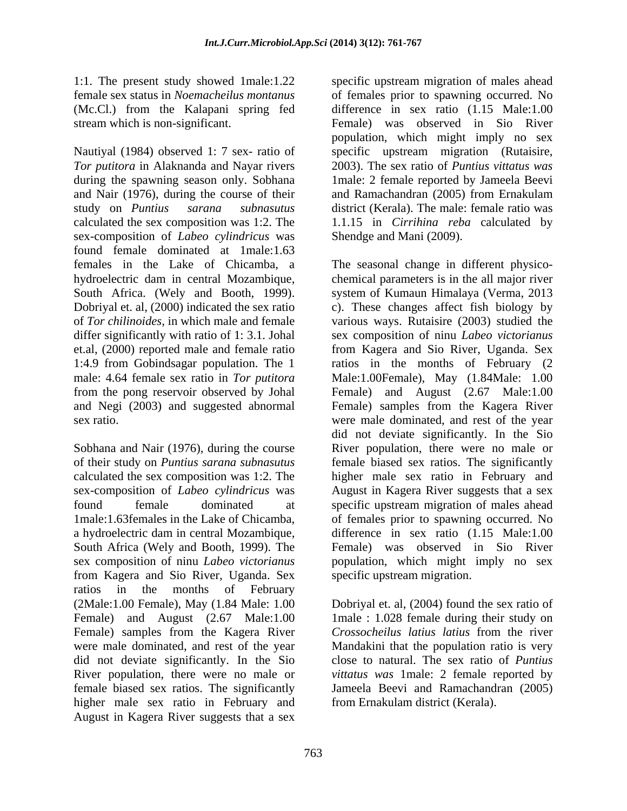(Mc.Cl.) from the Kalapani spring fed

*Tor putitora* in Alaknanda and Nayar rivers 2003). The sex ratio of *Puntius vittatus was* during the spawning season only. Sobhana 1male: 2 female reported by Jameela Beevi and Nair (1976), during the course of their study on *Puntius sarana subnasutus* district (Kerala). The male: female ratio was calculated the sex composition was 1:2. The 1.1.15 in *Cirrihina reba* calculated by sex-composition of *Labeo cylindricus* was found female dominated at 1male:1.63 hydroelectric dam in central Mozambique,

a hydroelectric dam in central Mozambique, South Africa (Wely and Booth, 1999). The sex composition of ninu *Labeo victorianus* from Kagera and Sio River, Uganda. Sex ratios in the months of February (2Male:1.00 Female), May (1.84 Male: 1.00 Dobriyal et. al, (2004) found the sex ratio of Female) and August (2.67 Male:1.00 1male : 1.028 female during their study on Female) samples from the Kagera River<br>were male dominated, and rest of the year<br>Mandakini that the population ratio is very were male dominated, and rest of the year Mandakini that the population ratio is very did not deviate significantly. In the Sio close to natural. The sex ratio of *Puntius*  River population, there were no male or female biased sex ratios. The significantly Jameela Beevi and Ramachandran (2005) higher male sex ratio in February and August in Kagera River suggests that a sex

1:1. The present study showed 1male:1.22 specific upstream migration of males ahead female sex status in *Noemacheilus montanus*  of females prior to spawning occurred. No stream which is non-significant. Female) was observed in Sio River population, which might imply no sex<br>Nautiyal (1984) observed 1: 7 sex- ratio of specific upstream migration (Rutaisire, difference in sex ratio (1.15 Male:1.00 population, which might imply no sex specific upstream migration (Rutaisire, and Ramachandran (2005) from Ernakulam Shendge and Mani (2009).

females in the Lake of Chicamba, a The seasonal change in different physico- South Africa. (Wely and Booth, 1999). system of Kumaun Himalaya (Verma, 2013 Dobriyal et. al, (2000) indicated the sex ratio c). These changes affect fish biology by of *Tor chilinoides,* in which male and female various ways. Rutaisire (2003) studied the differ significantly with ratio of 1: 3.1. Johal sex composition of ninu *Labeo victorianus* et.al, (2000) reported male and female ratio from Kagera and Sio River, Uganda. Sex 1:4.9 from Gobindsagar population. The 1 ratios in the months of February (2 male: 4.64 female sex ratio in *Tor putitora* Male:1.00Female), May (1.84Male: 1.00 from the pong reservoir observed by Johal Female) and August (2.67 Male:1.00 and Negi (2003) and suggested abnormal Female) samples from the Kagera River sex ratio. were male dominated, and rest of the year Sobhana and Nair (1976), during the course River population, there were no male or of their study on *Puntius sarana subnasutus* female biased sex ratios. The significantly calculated the sex composition was 1:2. The higher male sex ratio in February and sex-composition of *Labeo cylindricus* was August in Kagera River suggests that a sex found female dominated at specificupstream migration of males ahead 1male:1.63females in the Lake of Chicamba, of females prior to spawning occurred. No chemical parameters is in the all major river did not deviate significantly. In the Sio difference in sex ratio (1.15 Male:1.00 Female) was observed in Sio River population, which might imply no sex specific upstream migration.

> *Crossocheilus latius latius* from the river *vittatus was* 1male: 2 female reported by from Ernakulam district (Kerala).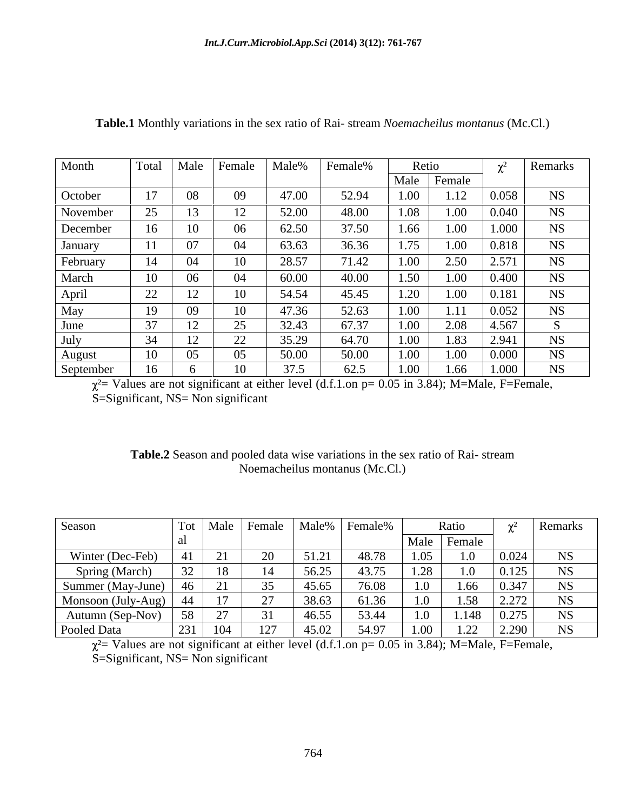| Month         |                                           |                            | Total   Male   Female   Male%             |       | Female% | Retio    |        |       | Remarks   |
|---------------|-------------------------------------------|----------------------------|-------------------------------------------|-------|---------|----------|--------|-------|-----------|
|               |                                           |                            |                                           |       |         | Male     | Female |       |           |
|               |                                           |                            |                                           |       |         |          |        |       |           |
| October       |                                           | 08                         | 09                                        | 47.00 | 52.94   | 1.00     | 1.14   | 0.058 | <b>NS</b> |
| November      | $\sim$ $\sim$<br>$\overline{\phantom{m}}$ | 13                         | 12                                        | 52.00 | 48.00   | 1.08     | 1.00   | 0.040 | <b>NS</b> |
| December      |                                           | 10                         | 06                                        | 62.50 | 37.50   | 1.66     | 1.00   | 1.000 | <b>NS</b> |
| January       |                                           | 07                         | $U$ <sup>+</sup>                          | 63.63 | 36.36   | 1.75     | 1.00   | 0.818 | <b>NS</b> |
| February      |                                           | 04                         | 10                                        | 28.57 | 71.42   | 1.00     | 2.50   | 2.571 | <b>NS</b> |
| March         |                                           | 06                         | $\Omega$<br>U4                            | 60.00 | 40.00   | 1.50     | 1.00   | 0.400 | <b>NS</b> |
| April         | $\bigcap$<br>$\overline{\phantom{m}}$     | 12 <sub>1</sub><br>$\perp$ | 10                                        | 54.54 | 45.45   | 1.20     | 1.00   | 0.181 | <b>NS</b> |
| May           |                                           | 09                         | 10                                        | 47.36 | 52.63   | 1.00     | 1.11   | 0.052 | <b>NS</b> |
| June          |                                           | $1^{\circ}$<br>$\perp$     | $\cap$ $\subset$<br>ل کے                  | 32.43 | 67.37   | 1.00     | 2.08   | 4.567 |           |
| <b>July</b>   | $\bigcap$ $\bigcap$<br>.34                | $1^{\circ}$<br>$\perp$     | $\mathcal{D}$<br>$\overline{\mathcal{L}}$ | 35.29 | 64.70   | $1.00\,$ | 1.83   | 2.941 | <b>NS</b> |
| <b>August</b> |                                           | 05                         | 05                                        | 50.00 | 50.00   | 1.00     | 1.00   | 0.000 | <b>NS</b> |
| September     |                                           |                            | 10                                        | 37.5  | 62.5    | 1.00     | 1.66   | .000  | <b>NS</b> |

**Table.1** Monthly variations in the sex ratio of Rai- stream *Noemacheilus montanus* (Mc.Cl.)

 $\chi^2$  Values are not significant at either level (d.f.1.on p= 0.05 in 3.84); M=Male, F=Female, S=Significant, NS= Non significant

| Table.2<br>variations in<br>stream<br>Rai<br>00V<br>$\frac{1}{2}$ W1 Se $\frac{1}{2}$<br>⊧the<br>l poolec<br>ratio<br>ำที่ 1<br>data<br>Season a<br>$\sim$ 0.6 |  |
|----------------------------------------------------------------------------------------------------------------------------------------------------------------|--|
| $\sim$ 1<br>Noemacheilus<br>$- - -$<br>ontanus<br>(MC.C<br>. .<br>.                                                                                            |  |

| Season             |     |     |     |       | Tot   Male   Female   Male%   Female% | Ratio       |               |                     | Remarks   |
|--------------------|-----|-----|-----|-------|---------------------------------------|-------------|---------------|---------------------|-----------|
|                    |     |     |     |       |                                       | Male Female |               |                     |           |
| Winter (Dec-Feb)   |     |     |     | 51'   | 48.78                                 | 1.05        | 1.0           | 0.024               |           |
| Spring (March)     |     | 18  |     | 56.25 | 43.75                                 | 1.28        | 1.0           | 0.125               | <b>NS</b> |
| Summer (May-June)  |     |     |     | 45.65 | 76.08                                 |             | 1.66          | $\boxed{0.347}$     |           |
| Monsoon (July-Aug) |     |     |     | 38.63 | 61.36                                 | 1.0         | 1.58          | $\vert 2.272 \vert$ | <b>NS</b> |
| Autumn (Sep-Nov)   |     |     |     | 46.55 | 53.44                                 |             | $1.148$ 0.275 |                     |           |
| Pooled Data        | 231 | 104 | 127 | 45.02 | 54.97                                 | 1.00        | 1.22          | 2.290               | <b>NS</b> |

 $\chi^2$  Values are not significant at either level (d.f.1.on p= 0.05 in 3.84); M=Male, F=Female, S=Significant, NS= Non significant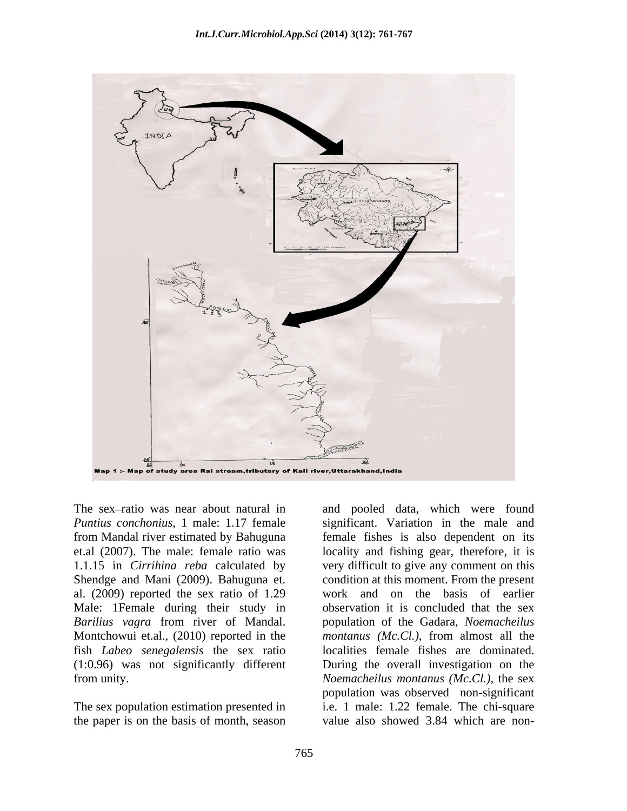

Shendge and Mani (2009). Bahuguna et. al. (2009) reported the sex ratio of 1.29 Male: 1Female during their study in<br>Barilius vagra from river of Mandal. fish *Labeo senegalensis* the sex ratio

the paper is on the basis of month, season

The sex ratio was near about natural in and pooled data, which were found *Puntius conchonius,* 1 male: 1.17 female significant. Variation in the male and from Mandal river estimated by Bahuguna female fishes is also dependent on its et.al (2007). The male: female ratio was locality and fishing gear, therefore, it is 1.1.15 in *Cirrihina reba* calculated by very difficult to give any comment on this *Barilius vagra* from river of Mandal. population of the Gadara, *Noemacheilus*  Montchowui et.al., (2010) reported in the *montanus (Mc.Cl.)*, from almost all the (1:0.96) was not significantly different During the overall investigation on the from unity. *Noemacheilus montanus (Mc.Cl.),* the sex The sex population estimation presented in i.e. 1 male: 1.22 female. The chi-square condition at this moment. From the present work and on the basis of earlier observation it is concluded that the sex localities female fishes are dominated. population was observed non-significant value also showed 3.84 which are non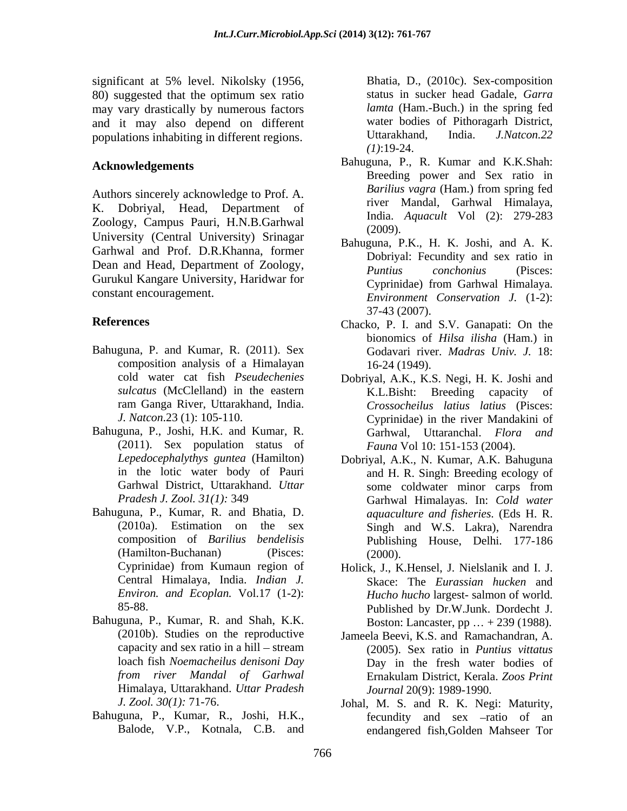significant at 5% level. Nikolsky (1956, 80) suggested that the optimum sex ratio may vary drastically by numerous factors and it may also depend on different water bodies of Pithoragarh District,<br>nopulations inhabiting in different regions Uttarakhand, India. J.Natcon.22 populations inhabiting in different regions. Uttarakhar<br>(1):19-24.

K. Dobriyal, Head, Department of Zoology, Campus Pauri, H.N.B.Garhwal mula. (2009). University (Central University) Srinagar Garhwal and Prof. D.R.Khanna, former Dean and Head, Department of Zoology,<br> *Puntius* conchonius (Pisces: Gurukul Kangare University, Haridwar for Cyprinidae) from Garhwal Himalaya.

- Bahuguna, P. and Kumar, R. (2011). Sex composition analysis of a Himalayan
- Bahuguna, P., Joshi, H.K. and Kumar, R. (2011). Sex population status of
- Bahuguna, P., Kumar, R. and Bhatia, D. (Hamilton-Buchanan) (Pisces: Central Himalaya, India. *Indian J. Environ. and Ecoplan.* Vol.17 (1-2):
- Bahuguna, P., Kumar, R. and Shah, K.K. capacity and sex ratio in a hill  $-$  stream Himalaya, Uttarakhand. *Uttar Pradesh*
- Bahuguna, P., Kumar, R., Joshi, H.K.,

Bhatia, D., (2010c). Sex-composition status in sucker head Gadale, *Garra lamta* (Ham.-Buch.) in the spring fed water bodies of Pithoragarh District, Uttarakhand, India. *J.Natcon.22 (1)*:19-24.

- Acknowledgements Bahuguna, P., R. Kumar and K.K.Shah: Authors sincerely acknowledge to Prof. A. Barilius vagra (Ham.) from spring fed Breeding power and Sex ratio in *Barilius vagra* (Ham.) from spring fed river Mandal, Garhwal Himalaya, India. *Aquacult* Vol (2): 279-283 (2009).
- constant encouragement. *Environment Conservation J.* (1-2): Bahuguna, P.K., H. K. Joshi, and A. K. Dobriyal: Fecundity and sex ratio in *Puntius conchonius* (Pisces: Cyprinidae) from Garhwal Himalaya. 37-43 (2007).
- **References** Chacko, P. I. and S.V. Ganapati: On the bionomics of *Hilsa ilisha* (Ham.) in Godavari river. *Madras Univ. J.* 18: 16-24 (1949).
	- cold water cat fish *Pseudechenies*  Dobriyal, A.K., K.S. Negi, H. K. Joshi and *sulcatus* (McClelland) in the eastern **K.L.Bisht:** Breeding capacity of ram Ganga River, Uttarakhand, India. *Crossocheilus latius latius* (Pisces: *J. Natcon*.23 (1): 105-110. Cyprinidae) in the river Mandakini of K.L.Bisht: Breeding capacity of Garhwal, Uttaranchal. *Flora and Fauna* Vol 10: 151-153 (2004).
	- *Lepedocephalythys guntea* (Hamilton) Dobriyal, A.K., N. Kumar, A.K. Bahuguna in the lotic water body of Pauri and H. R. Singh: Breeding ecology of Garhwal District, Uttarakhand. *Uttar* some coldwater minor carps from *Pradesh J. Zool. 31(1):* 349 Garhwal Himalayas. In: *Cold water* (2010a). Estimation on the sex Singh and W.S. Lakra), Narendra composition of *Barilius bendelisis* Publishing House, Delhi. 177-186 some coldwater minor carps from *aquaculture and fisheries*. (Eds H. R. (2000).
	- Cyprinidae) from Kumaun region of Holick, J., K.Hensel, J. Nielslanik and I. J. 85-88. Published by Dr.W.Junk. Dordecht J. Skace: The *Eurassian hucken* and *Hucho hucho* largest- salmon of world. Boston: Lancaster, pp  $... + 239$  (1988).
	- (2010b). Studies on the reproductive Jameela Beevi, K.S. and Ramachandran, A. loach fish *Noemacheilus denisoni Day* Day in the fresh water bodies of *from river Mandal of Garhwal* (2005). Sex ratio in *Puntius vittatus* Ernakulam District, Kerala. *Zoos Print Journal* 20(9): 1989-1990.
	- *J. Zool. 30(1):* 71-76. Johal, M. S. and R. K. Negi: Maturity, Balode, V.P., Kotnala, C.B. and endangered fish,Golden Mahseer Torfecundity and sex -ratio of an